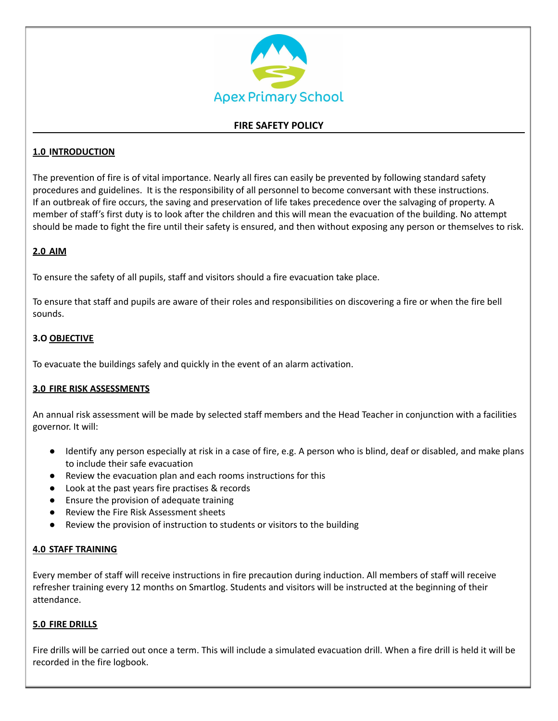

# **FIRE SAFETY POLICY**

# **1.0 INTRODUCTION**

The prevention of fire is of vital importance. Nearly all fires can easily be prevented by following standard safety procedures and guidelines. It is the responsibility of all personnel to become conversant with these instructions. If an outbreak of fire occurs, the saving and preservation of life takes precedence over the salvaging of property. A member of staff's first duty is to look after the children and this will mean the evacuation of the building. No attempt should be made to fight the fire until their safety is ensured, and then without exposing any person or themselves to risk.

# **2.0 AIM**

To ensure the safety of all pupils, staff and visitors should a fire evacuation take place.

To ensure that staff and pupils are aware of their roles and responsibilities on discovering a fire or when the fire bell sounds.

# **3.O OBJECTIVE**

To evacuate the buildings safely and quickly in the event of an alarm activation.

## **3.0 FIRE RISK ASSESSMENTS**

An annual risk assessment will be made by selected staff members and the Head Teacher in conjunction with a facilities governor. It will:

- Identify any person especially at risk in a case of fire, e.g. A person who is blind, deaf or disabled, and make plans to include their safe evacuation
- Review the evacuation plan and each rooms instructions for this
- Look at the past years fire practises & records
- Ensure the provision of adequate training
- Review the Fire Risk Assessment sheets
- Review the provision of instruction to students or visitors to the building

## **4.0 STAFF TRAINING**

Every member of staff will receive instructions in fire precaution during induction. All members of staff will receive refresher training every 12 months on Smartlog. Students and visitors will be instructed at the beginning of their attendance.

## **5.0 FIRE DRILLS**

Fire drills will be carried out once a term. This will include a simulated evacuation drill. When a fire drill is held it will be recorded in the fire logbook.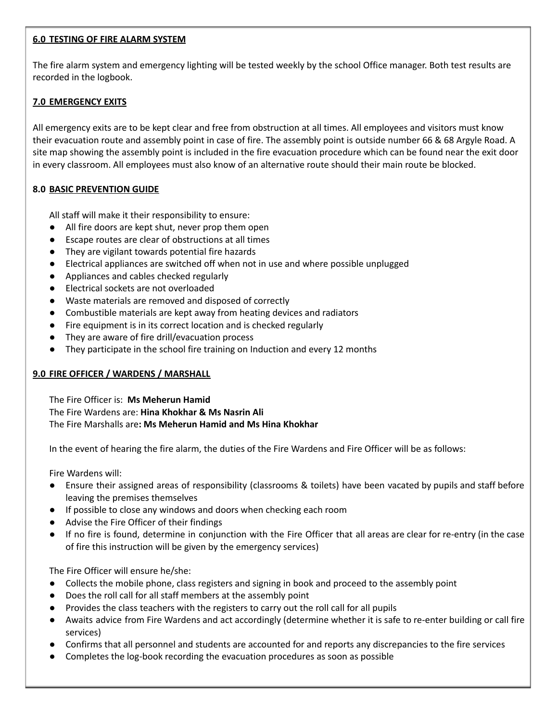## **6.0 TESTING OF FIRE ALARM SYSTEM**

The fire alarm system and emergency lighting will be tested weekly by the school Office manager. Both test results are recorded in the logbook.

# **7.0 EMERGENCY EXITS**

All emergency exits are to be kept clear and free from obstruction at all times. All employees and visitors must know their evacuation route and assembly point in case of fire. The assembly point is outside number 66 & 68 Argyle Road. A site map showing the assembly point is included in the fire evacuation procedure which can be found near the exit door in every classroom. All employees must also know of an alternative route should their main route be blocked.

# **8.0 BASIC PREVENTION GUIDE**

All staff will make it their responsibility to ensure:

- All fire doors are kept shut, never prop them open
- Escape routes are clear of obstructions at all times
- They are vigilant towards potential fire hazards
- Electrical appliances are switched off when not in use and where possible unplugged
- Appliances and cables checked regularly
- Electrical sockets are not overloaded
- Waste materials are removed and disposed of correctly
- Combustible materials are kept away from heating devices and radiators
- Fire equipment is in its correct location and is checked regularly
- They are aware of fire drill/evacuation process
- They participate in the school fire training on Induction and every 12 months

# **9.0 FIRE OFFICER / WARDENS / MARSHALL**

The Fire Officer is: **Ms Meherun Hamid** The Fire Wardens are: **Hina Khokhar & Ms Nasrin Ali** The Fire Marshalls are**: Ms Meherun Hamid and Ms Hina Khokhar**

In the event of hearing the fire alarm, the duties of the Fire Wardens and Fire Officer will be as follows:

Fire Wardens will:

- Ensure their assigned areas of responsibility (classrooms & toilets) have been vacated by pupils and staff before leaving the premises themselves
- If possible to close any windows and doors when checking each room
- Advise the Fire Officer of their findings
- If no fire is found, determine in conjunction with the Fire Officer that all areas are clear for re-entry (in the case of fire this instruction will be given by the emergency services)

The Fire Officer will ensure he/she:

- Collects the mobile phone, class registers and signing in book and proceed to the assembly point
- Does the roll call for all staff members at the assembly point
- Provides the class teachers with the registers to carry out the roll call for all pupils
- Awaits advice from Fire Wardens and act accordingly (determine whether it is safe to re-enter building or call fire services)
- Confirms that all personnel and students are accounted for and reports any discrepancies to the fire services
- Completes the log-book recording the evacuation procedures as soon as possible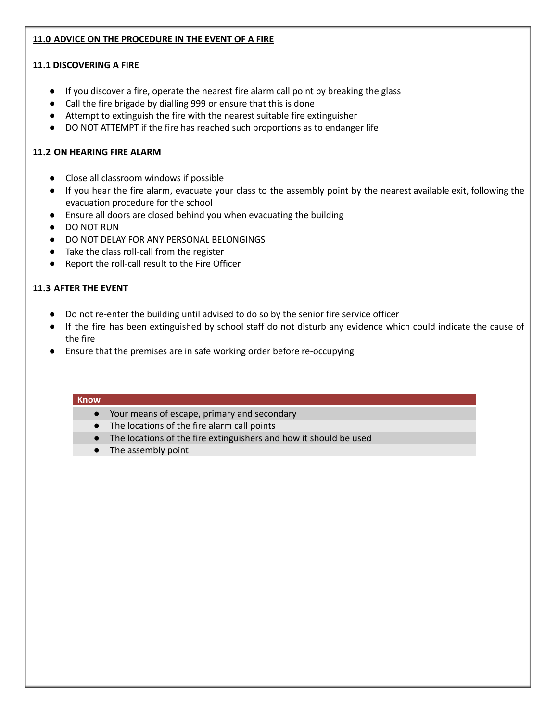# **11.0 ADVICE ON THE PROCEDURE IN THE EVENT OF A FIRE**

# **11.1 DISCOVERING A FIRE**

- If you discover a fire, operate the nearest fire alarm call point by breaking the glass
- Call the fire brigade by dialling 999 or ensure that this is done
- Attempt to extinguish the fire with the nearest suitable fire extinguisher
- DO NOT ATTEMPT if the fire has reached such proportions as to endanger life

# **11.2 ON HEARING FIRE ALARM**

- Close all classroom windows if possible
- If you hear the fire alarm, evacuate your class to the assembly point by the nearest available exit, following the evacuation procedure for the school
- Ensure all doors are closed behind you when evacuating the building
- DO NOT RUN
- DO NOT DELAY FOR ANY PERSONAL BELONGINGS
- Take the class roll-call from the register
- Report the roll-call result to the Fire Officer

# **11.3 AFTER THE EVENT**

- Do not re-enter the building until advised to do so by the senior fire service officer
- If the fire has been extinguished by school staff do not disturb any evidence which could indicate the cause of the fire
- Ensure that the premises are in safe working order before re-occupying

#### **Know**

- Your means of escape, primary and secondary
- The locations of the fire alarm call points
- The locations of the fire extinguishers and how it should be used
- The assembly point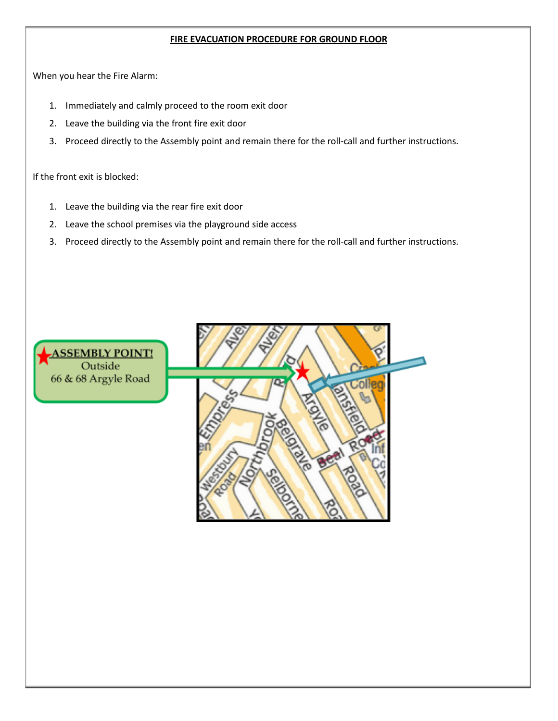## **FIRE EVACUATION PROCEDURE FOR GROUND FLOOR**

When you hear the Fire Alarm:

- 1. Immediately and calmly proceed to the room exit door
- 2. Leave the building via the front fire exit door
- 3. Proceed directly to the Assembly point and remain there for the roll-call and further instructions.

If the front exit is blocked:

- 1. Leave the building via the rear fire exit door
- 2. Leave the school premises via the playground side access
- 3. Proceed directly to the Assembly point and remain there for the roll-call and further instructions.

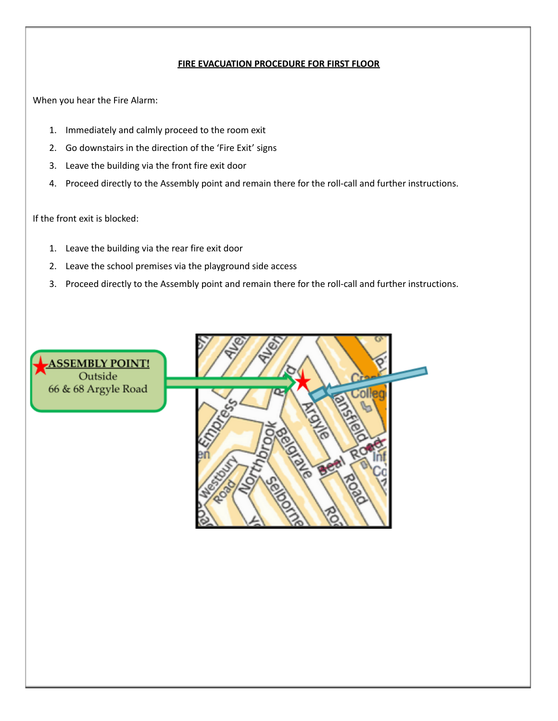# **FIRE EVACUATION PROCEDURE FOR FIRST FLOOR**

When you hear the Fire Alarm:

- 1. Immediately and calmly proceed to the room exit
- 2. Go downstairs in the direction of the 'Fire Exit' signs
- 3. Leave the building via the front fire exit door
- 4. Proceed directly to the Assembly point and remain there for the roll-call and further instructions.

If the front exit is blocked:

- 1. Leave the building via the rear fire exit door
- 2. Leave the school premises via the playground side access
- 3. Proceed directly to the Assembly point and remain there for the roll-call and further instructions.

**ASSEMBLY POINT!** Outside 66 & 68 Argyle Road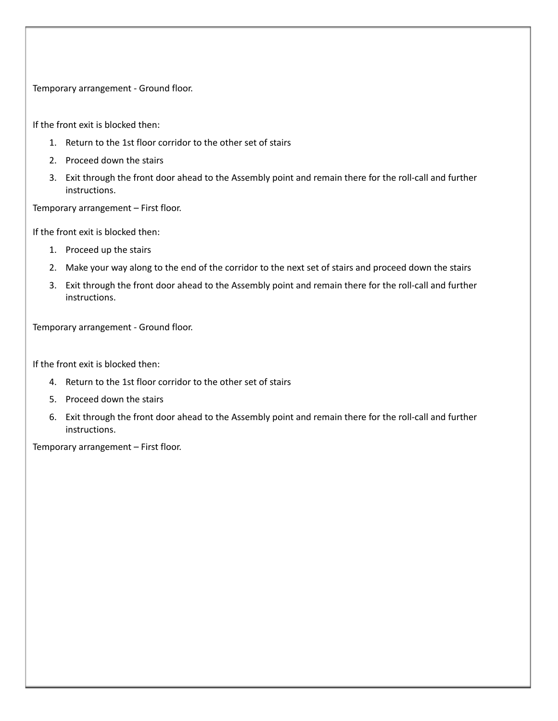Temporary arrangement - Ground floor.

If the front exit is blocked then:

- 1. Return to the 1st floor corridor to the other set of stairs
- 2. Proceed down the stairs
- 3. Exit through the front door ahead to the Assembly point and remain there for the roll-call and further instructions.

Temporary arrangement – First floor.

If the front exit is blocked then:

- 1. Proceed up the stairs
- 2. Make your way along to the end of the corridor to the next set of stairs and proceed down the stairs
- 3. Exit through the front door ahead to the Assembly point and remain there for the roll-call and further instructions.

Temporary arrangement - Ground floor.

If the front exit is blocked then:

- 4. Return to the 1st floor corridor to the other set of stairs
- 5. Proceed down the stairs
- 6. Exit through the front door ahead to the Assembly point and remain there for the roll-call and further instructions.

Temporary arrangement – First floor.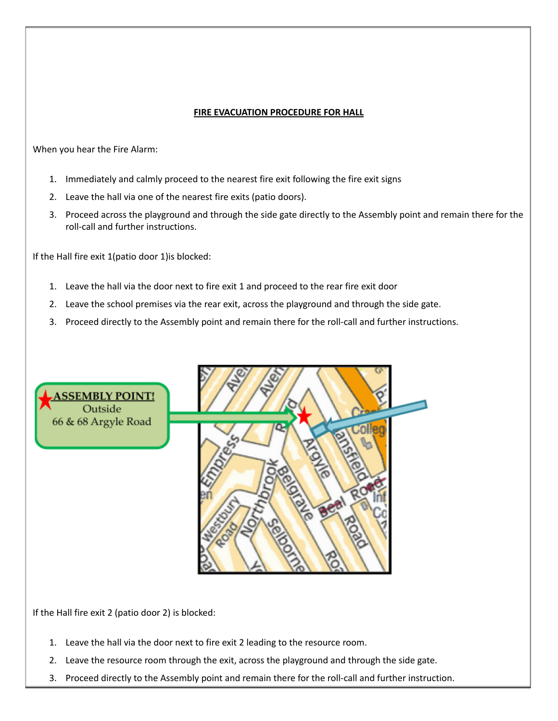## **FIRE EVACUATION PROCEDURE FOR HALL**

When you hear the Fire Alarm:

- 1. Immediately and calmly proceed to the nearest fire exit following the fire exit signs
- 2. Leave the hall via one of the nearest fire exits (patio doors).
- 3. Proceed across the playground and through the side gate directly to the Assembly point and remain there for the roll-call and further instructions.

If the Hall fire exit 1(patio door 1)is blocked:

- 1. Leave the hall via the door next to fire exit 1 and proceed to the rear fire exit door
- 2. Leave the school premises via the rear exit, across the playground and through the side gate.
- 3. Proceed directly to the Assembly point and remain there for the roll-call and further instructions.



If the Hall fire exit 2 (patio door 2) is blocked:

- 1. Leave the hall via the door next to fire exit 2 leading to the resource room.
- 2. Leave the resource room through the exit, across the playground and through the side gate.
- 3. Proceed directly to the Assembly point and remain there for the roll-call and further instruction.